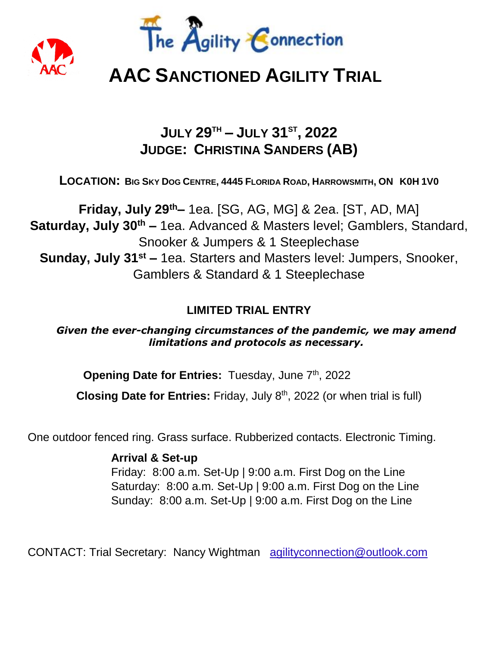



# **AAC SANCTIONED AGILITY TRIAL**

# **JULY 29TH – JULY 31ST , 2022 JUDGE: CHRISTINA SANDERS (AB)**

LOCATION: BIG SKY DOG CENTRE, 4445 FLORIDA ROAD, HARROWSMITH, ON KOH 1VO

**Friday, July 29th–** 1ea. [SG, AG, MG] & 2ea. [ST, AD, MA] **Saturday, July 30th –** 1ea. Advanced & Masters level; Gamblers, Standard, Snooker & Jumpers & 1 Steeplechase **Sunday, July 31st –** 1ea. Starters and Masters level: Jumpers, Snooker, Gamblers & Standard & 1 Steeplechase

# **LIMITED TRIAL ENTRY**

*Given the ever-changing circumstances of the pandemic, we may amend limitations and protocols as necessary.*

**Opening Date for Entries: Tuesday, June 7<sup>th</sup>, 2022** 

Closing Date for Entries: Friday, July 8<sup>th</sup>, 2022 (or when trial is full)

One outdoor fenced ring. Grass surface. Rubberized contacts. Electronic Timing.

**Arrival & Set-up** Friday: 8:00 a.m. Set-Up | 9:00 a.m. First Dog on the Line Saturday: 8:00 a.m. Set-Up | 9:00 a.m. First Dog on the Line Sunday: 8:00 a.m. Set-Up | 9:00 a.m. First Dog on the Line

CONTACT: Trial Secretary: Nancy Wightman agilityconnection@outlook.com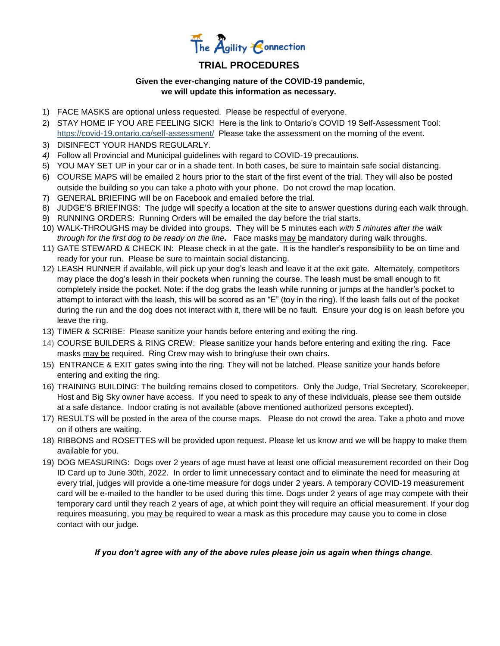

# **TRIAL PROCEDURES**

#### **Given the ever-changing nature of the COVID-19 pandemic, we will update this information as necessary.**

- 1) FACE MASKS are optional unless requested. Please be respectful of everyone.
- 2) STAY HOME IF YOU ARE FEELING SICK! Here is the link to Ontario's COVID 19 Self-Assessment Tool: <https://covid-19.ontario.ca/self-assessment/>Please take the assessment on the morning of the event.
- 3) DISINFECT YOUR HANDS REGULARLY.
- *4)* Follow all Provincial and Municipal guidelines with regard to COVID-19 precautions*.*
- 5) YOU MAY SET UP in your car or in a shade tent. In both cases, be sure to maintain safe social distancing.
- 6) COURSE MAPS will be emailed 2 hours prior to the start of the first event of the trial. They will also be posted outside the building so you can take a photo with your phone. Do not crowd the map location.
- 7) GENERAL BRIEFING will be on Facebook and emailed before the trial.
- 8) JUDGE'S BRIEFINGS: The judge will specify a location at the site to answer questions during each walk through.
- 9) RUNNING ORDERS: Running Orders will be emailed the day before the trial starts.
- 10) WALK-THROUGHS may be divided into groups. They will be 5 minutes each *with 5 minutes after the walk through for the first dog to be ready on the line.* Face masks may be mandatory during walk throughs.
- 11) GATE STEWARD & CHECK IN: Please check in at the gate. It is the handler's responsibility to be on time and ready for your run. Please be sure to maintain social distancing.
- 12) LEASH RUNNER if available, will pick up your dog's leash and leave it at the exit gate. Alternately, competitors may place the dog's leash in their pockets when running the course. The leash must be small enough to fit completely inside the pocket. Note: if the dog grabs the leash while running or jumps at the handler's pocket to attempt to interact with the leash, this will be scored as an "E" (toy in the ring). If the leash falls out of the pocket during the run and the dog does not interact with it, there will be no fault. Ensure your dog is on leash before you leave the ring.
- 13) TIMER & SCRIBE: Please sanitize your hands before entering and exiting the ring.
- 14) COURSE BUILDERS & RING CREW: Please sanitize your hands before entering and exiting the ring. Face masks may be required. Ring Crew may wish to bring/use their own chairs.
- 15) ENTRANCE & EXIT gates swing into the ring. They will not be latched. Please sanitize your hands before entering and exiting the ring.
- 16) TRAINING BUILDING: The building remains closed to competitors. Only the Judge, Trial Secretary, Scorekeeper, Host and Big Sky owner have access. If you need to speak to any of these individuals, please see them outside at a safe distance. Indoor crating is not available (above mentioned authorized persons excepted).
- 17) RESULTS will be posted in the area of the course maps. Please do not crowd the area. Take a photo and move on if others are waiting.
- 18) RIBBONS and ROSETTES will be provided upon request. Please let us know and we will be happy to make them available for you.
- 19) DOG MEASURING: Dogs over 2 years of age must have at least one official measurement recorded on their Dog ID Card up to June 30th, 2022. In order to limit unnecessary contact and to eliminate the need for measuring at every trial, judges will provide a one-time measure for dogs under 2 years. A temporary COVID-19 measurement card will be e-mailed to the handler to be used during this time. Dogs under 2 years of age may compete with their temporary card until they reach 2 years of age, at which point they will require an official measurement. If your dog requires measuring, you may be required to wear a mask as this procedure may cause you to come in close contact with our judge.

#### *If you don't agree with any of the above rules please join us again when things change.*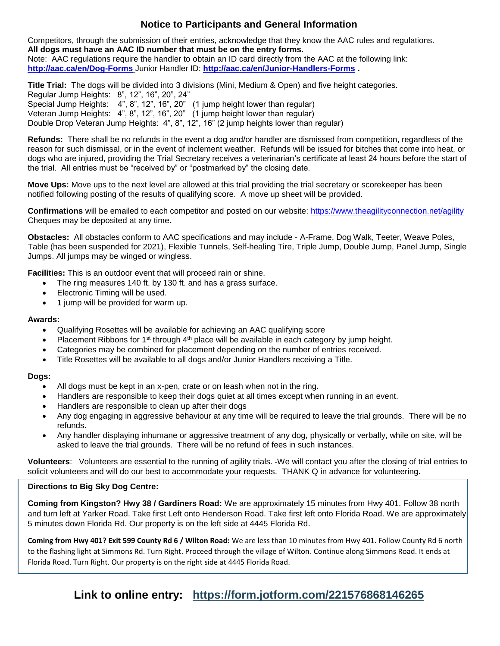## **Notice to Participants and General Information**

Competitors, through the submission of their entries, acknowledge that they know the AAC rules and regulations. **All dogs must have an AAC ID number that must be on the entry forms.**  Note: AAC regulations require the handler to obtain an ID card directly from the AAC at the following link: **<http://aac.ca/en/Dog-Forms>** Junior Handler ID: **<http://aac.ca/en/Junior-Handlers-Forms> .** 

**Title Trial:** The dogs will be divided into 3 divisions (Mini, Medium & Open) and five height categories. Regular Jump Heights: 8", 12", 16", 20", 24" Special Jump Heights: 4", 8", 12", 16", 20" (1 jump height lower than regular) Veteran Jump Heights: 4", 8", 12", 16", 20" (1 jump height lower than regular) Double Drop Veteran Jump Heights: 4", 8", 12", 16" (2 jump heights lower than regular)

**Refunds:** There shall be no refunds in the event a dog and/or handler are dismissed from competition, regardless of the reason for such dismissal, or in the event of inclement weather. Refunds will be issued for bitches that come into heat, or dogs who are injured, providing the Trial Secretary receives a veterinarian's certificate at least 24 hours before the start of the trial. All entries must be "received by" or "postmarked by" the closing date.

**Move Ups:** Move ups to the next level are allowed at this trial providing the trial secretary or scorekeeper has been notified following posting of the results of qualifying score. A move up sheet will be provided.

**Confirmations** will be emailed to each competitor and posted on our website:<https://www.theagilityconnection.net/agility> Cheques may be deposited at any time.

**Obstacles:** All obstacles conform to AAC specifications and may include - A-Frame, Dog Walk, Teeter, Weave Poles, Table (has been suspended for 2021), Flexible Tunnels, Self-healing Tire, Triple Jump, Double Jump, Panel Jump, Single Jumps. All jumps may be winged or wingless.

**Facilities:** This is an outdoor event that will proceed rain or shine.

- The ring measures 140 ft. by 130 ft. and has a grass surface.
- Electronic Timing will be used.
- 1 jump will be provided for warm up.

#### **Awards:**

- Qualifying Rosettes will be available for achieving an AAC qualifying score
- Placement Ribbons for 1<sup>st</sup> through  $4<sup>th</sup>$  place will be available in each category by jump height.
- Categories may be combined for placement depending on the number of entries received.
- Title Rosettes will be available to all dogs and/or Junior Handlers receiving a Title.

#### **Dogs:**

- All dogs must be kept in an x-pen, crate or on leash when not in the ring.
- Handlers are responsible to keep their dogs quiet at all times except when running in an event.
- Handlers are responsible to clean up after their dogs
- Any dog engaging in aggressive behaviour at any time will be required to leave the trial grounds. There will be no refunds.
- Any handler displaying inhumane or aggressive treatment of any dog, physically or verbally, while on site, will be asked to leave the trial grounds. There will be no refund of fees in such instances.

**Volunteers**: Volunteers are essential to the running of agility trials. We will contact you after the closing of trial entries to solicit volunteers and will do our best to accommodate your requests. THANK Q in advance for volunteering.

#### **Directions to Big Sky Dog Centre:**

**Coming from Kingston? Hwy 38 / Gardiners Road:** We are approximately 15 minutes from Hwy 401. Follow 38 north and turn left at Yarker Road. Take first Left onto Henderson Road. Take first left onto Florida Road. We are approximately 5 minutes down Florida Rd. Our property is on the left side at 4445 Florida Rd.

**Coming from Hwy 401? Exit 599 County Rd 6 / Wilton Road:** We are less than 10 minutes from Hwy 401. Follow County Rd 6 north to the flashing light at Simmons Rd. Turn Right. Proceed through the village of Wilton. Continue along Simmons Road. It ends at Florida Road. Turn Right. Our property is on the right side at 4445 Florida Road.

**Link to online entry: <https://form.jotform.com/221576868146265>**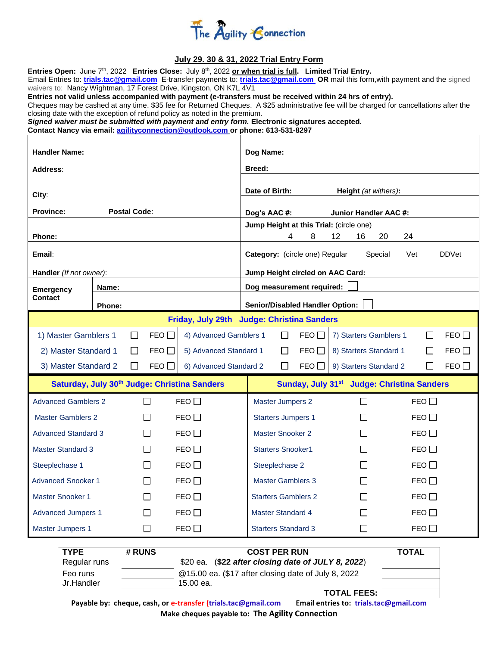

#### **July 29. 30 & 31, 2022 Trial Entry Form**

| Entries Open: June 7 <sup>th</sup> , 2022 Entries Close: July 8 <sup>th</sup> , 2022 or when trial is full. Limited Trial Entry.<br>Email Entries to: trials.tac@gmail.com E-transfer payments to: trials.tac@gmail.com OR mail this form, with payment and the signed<br>waivers to: Nancy Wightman, 17 Forest Drive, Kingston, ON K7L 4V1<br>Entries not valid unless accompanied with payment (e-transfers must be received within 24 hrs of entry).<br>Cheques may be cashed at any time. \$35 fee for Returned Cheques. A \$25 administrative fee will be charged for cancellations after the<br>closing date with the exception of refund policy as noted in the premium.<br>Signed waiver must be submitted with payment and entry form. Electronic signatures accepted.<br>Contact Nancy via email: agilityconnection@outlook.com or phone: 613-531-8297 |       |                   |                                  |                                                                           |                                                  |              |        |               |  |
|------------------------------------------------------------------------------------------------------------------------------------------------------------------------------------------------------------------------------------------------------------------------------------------------------------------------------------------------------------------------------------------------------------------------------------------------------------------------------------------------------------------------------------------------------------------------------------------------------------------------------------------------------------------------------------------------------------------------------------------------------------------------------------------------------------------------------------------------------------------|-------|-------------------|----------------------------------|---------------------------------------------------------------------------|--------------------------------------------------|--------------|--------|---------------|--|
| <b>Handler Name:</b>                                                                                                                                                                                                                                                                                                                                                                                                                                                                                                                                                                                                                                                                                                                                                                                                                                             |       |                   |                                  | Dog Name:                                                                 |                                                  |              |        |               |  |
| Address:                                                                                                                                                                                                                                                                                                                                                                                                                                                                                                                                                                                                                                                                                                                                                                                                                                                         |       |                   |                                  | <b>Breed:</b>                                                             |                                                  |              |        |               |  |
|                                                                                                                                                                                                                                                                                                                                                                                                                                                                                                                                                                                                                                                                                                                                                                                                                                                                  |       |                   |                                  |                                                                           |                                                  |              |        |               |  |
| City:                                                                                                                                                                                                                                                                                                                                                                                                                                                                                                                                                                                                                                                                                                                                                                                                                                                            |       |                   |                                  | Date of Birth:<br><b>Height</b> (at withers):                             |                                                  |              |        |               |  |
| <b>Province:</b><br><b>Postal Code:</b>                                                                                                                                                                                                                                                                                                                                                                                                                                                                                                                                                                                                                                                                                                                                                                                                                          |       |                   |                                  | Dog's AAC #:<br><b>Junior Handler AAC #:</b>                              |                                                  |              |        |               |  |
|                                                                                                                                                                                                                                                                                                                                                                                                                                                                                                                                                                                                                                                                                                                                                                                                                                                                  |       |                   |                                  | Jump Height at this Trial: (circle one)<br>8<br>12<br>16<br>20<br>24<br>4 |                                                  |              |        |               |  |
| Phone:                                                                                                                                                                                                                                                                                                                                                                                                                                                                                                                                                                                                                                                                                                                                                                                                                                                           |       |                   |                                  |                                                                           |                                                  |              |        |               |  |
| Email:                                                                                                                                                                                                                                                                                                                                                                                                                                                                                                                                                                                                                                                                                                                                                                                                                                                           |       |                   |                                  | <b>DDVet</b><br>Category: (circle one) Regular<br>Special<br>Vet          |                                                  |              |        |               |  |
| Handler (If not owner):                                                                                                                                                                                                                                                                                                                                                                                                                                                                                                                                                                                                                                                                                                                                                                                                                                          |       |                   | Jump Height circled on AAC Card: |                                                                           |                                                  |              |        |               |  |
| <b>Emergency</b><br>Contact                                                                                                                                                                                                                                                                                                                                                                                                                                                                                                                                                                                                                                                                                                                                                                                                                                      | Name: |                   |                                  | Dog measurement required:                                                 |                                                  |              |        |               |  |
| <b>Senior/Disabled Handler Option:</b><br><b>Phone:</b>                                                                                                                                                                                                                                                                                                                                                                                                                                                                                                                                                                                                                                                                                                                                                                                                          |       |                   |                                  |                                                                           |                                                  |              |        |               |  |
| Friday, July 29th Judge: Christina Sanders                                                                                                                                                                                                                                                                                                                                                                                                                                                                                                                                                                                                                                                                                                                                                                                                                       |       |                   |                                  |                                                                           |                                                  |              |        |               |  |
| 1) Master Gamblers 1<br>FEO<br>4) Advanced Gamblers 1<br>$\Box$                                                                                                                                                                                                                                                                                                                                                                                                                                                                                                                                                                                                                                                                                                                                                                                                  |       |                   | $\Box$                           | FEO                                                                       | 7) Starters Gamblers 1                           |              | П      | FEO           |  |
| 2) Master Standard 1<br>FEO<br>5) Advanced Standard 1<br>$\mathsf{L}$                                                                                                                                                                                                                                                                                                                                                                                                                                                                                                                                                                                                                                                                                                                                                                                            |       |                   | П<br>П                           | FEO $\Box$<br>FEO $\Box$                                                  | 8) Starters Standard 1<br>9) Starters Standard 2 |              | П      | FEO<br>FEO    |  |
| 3) Master Standard 2<br>FEO<br>6) Advanced Standard 2<br>$\mathsf{L}$                                                                                                                                                                                                                                                                                                                                                                                                                                                                                                                                                                                                                                                                                                                                                                                            |       |                   |                                  |                                                                           |                                                  |              |        |               |  |
| Saturday, July 30 <sup>th</sup> Judge: Christina Sanders                                                                                                                                                                                                                                                                                                                                                                                                                                                                                                                                                                                                                                                                                                                                                                                                         |       |                   |                                  | Sunday, July 31 <sup>st</sup> Judge: Christina Sanders                    |                                                  |              |        |               |  |
| <b>Advanced Gamblers 2</b>                                                                                                                                                                                                                                                                                                                                                                                                                                                                                                                                                                                                                                                                                                                                                                                                                                       |       |                   | FEO                              | <b>Master Jumpers 2</b>                                                   |                                                  |              |        | FEO $\Box$    |  |
| <b>Master Gamblers 2</b>                                                                                                                                                                                                                                                                                                                                                                                                                                                                                                                                                                                                                                                                                                                                                                                                                                         |       | $\mathcal{L}$     | FEO                              |                                                                           | <b>Starters Jumpers 1</b>                        |              |        | FEO $\square$ |  |
| <b>Advanced Standard 3</b>                                                                                                                                                                                                                                                                                                                                                                                                                                                                                                                                                                                                                                                                                                                                                                                                                                       |       | $\Box$            | FEO                              |                                                                           | Master Snooker 2                                 |              | $\Box$ | FEO           |  |
| <b>Master Standard 3</b>                                                                                                                                                                                                                                                                                                                                                                                                                                                                                                                                                                                                                                                                                                                                                                                                                                         |       |                   | FEO                              |                                                                           | <b>Starters Snooker1</b>                         |              |        | FEO           |  |
| Steeplechase 1                                                                                                                                                                                                                                                                                                                                                                                                                                                                                                                                                                                                                                                                                                                                                                                                                                                   |       | $\vert \ \ \vert$ | FEO                              | Steeplechase 2                                                            |                                                  | $\mathsf{L}$ |        | FEO           |  |
| <b>Advanced Snooker 1</b>                                                                                                                                                                                                                                                                                                                                                                                                                                                                                                                                                                                                                                                                                                                                                                                                                                        |       | $\mathsf{L}$      | FEO                              |                                                                           | <b>Master Gamblers 3</b>                         |              |        | FEO           |  |
| Master Snooker 1                                                                                                                                                                                                                                                                                                                                                                                                                                                                                                                                                                                                                                                                                                                                                                                                                                                 |       |                   | FEO                              |                                                                           | <b>Starters Gamblers 2</b>                       |              |        | FEO           |  |
| <b>Advanced Jumpers 1</b>                                                                                                                                                                                                                                                                                                                                                                                                                                                                                                                                                                                                                                                                                                                                                                                                                                        |       | $\vert \ \ \vert$ | FEO                              |                                                                           | <b>Master Standard 4</b>                         |              |        | FEO           |  |
| <b>Master Jumpers 1</b>                                                                                                                                                                                                                                                                                                                                                                                                                                                                                                                                                                                                                                                                                                                                                                                                                                          |       | $\Box$            | FEO                              | <b>Starters Standard 3</b>                                                |                                                  | $\Box$       |        | FEO           |  |
| <b>TYPE</b><br># RUNS<br><b>COST PER RUN</b><br><b>TOTAL</b>                                                                                                                                                                                                                                                                                                                                                                                                                                                                                                                                                                                                                                                                                                                                                                                                     |       |                   |                                  |                                                                           |                                                  |              |        |               |  |
| \$20 ea. (\$22 after closing date of JULY 8, 2022)<br>Regular runs                                                                                                                                                                                                                                                                                                                                                                                                                                                                                                                                                                                                                                                                                                                                                                                               |       |                   |                                  |                                                                           |                                                  |              |        |               |  |

|            | $\sqrt{2}$ ca. $\sqrt{2}$ and crownig anto or $\sqrt{2}$ . $\sqrt{2}$ |                                       |
|------------|-----------------------------------------------------------------------|---------------------------------------|
| Feo runs   | @15.00 ea. (\$17 after closing date of July 8, 2022                   |                                       |
| Jr.Handler | 15.00 ea.                                                             |                                       |
|            |                                                                       | <b>TOTAL FEES:</b>                    |
|            | Boughla buy choque cash as a transfer (trials too@gmail.com           | Email optries to trials tas@gmail.com |

**Payable by: cheque, cash, or e-transfer [\(trials.tac@gmail.com](mailto:trials.tac@gmail.com) Email entries to: trials.tac@gmail.com Make cheques payable to: The Agility Connection**